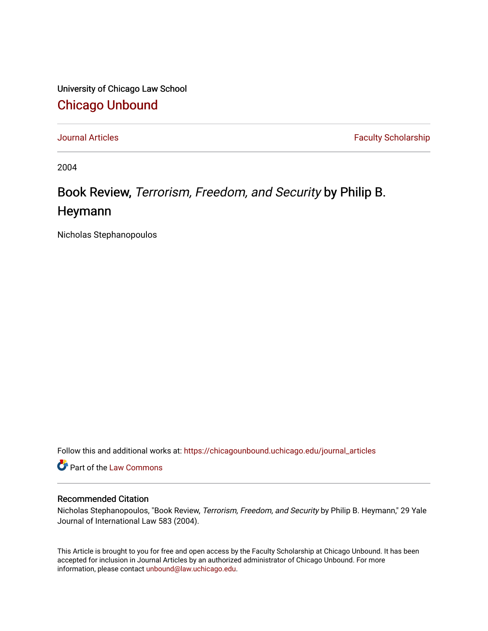University of Chicago Law School [Chicago Unbound](https://chicagounbound.uchicago.edu/)

[Journal Articles](https://chicagounbound.uchicago.edu/journal_articles) **Faculty Scholarship Journal Articles** 

2004

## Book Review, Terrorism, Freedom, and Security by Philip B. Heymann

Nicholas Stephanopoulos

Follow this and additional works at: [https://chicagounbound.uchicago.edu/journal\\_articles](https://chicagounbound.uchicago.edu/journal_articles?utm_source=chicagounbound.uchicago.edu%2Fjournal_articles%2F2628&utm_medium=PDF&utm_campaign=PDFCoverPages) 

Part of the [Law Commons](http://network.bepress.com/hgg/discipline/578?utm_source=chicagounbound.uchicago.edu%2Fjournal_articles%2F2628&utm_medium=PDF&utm_campaign=PDFCoverPages)

## Recommended Citation

Nicholas Stephanopoulos, "Book Review, Terrorism, Freedom, and Security by Philip B. Heymann," 29 Yale Journal of International Law 583 (2004).

This Article is brought to you for free and open access by the Faculty Scholarship at Chicago Unbound. It has been accepted for inclusion in Journal Articles by an authorized administrator of Chicago Unbound. For more information, please contact [unbound@law.uchicago.edu](mailto:unbound@law.uchicago.edu).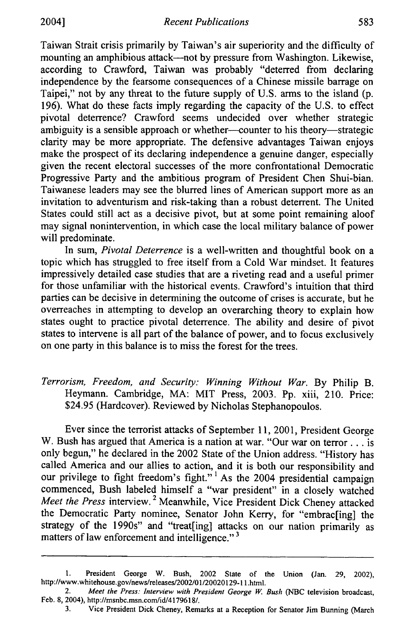Taiwan Strait crisis primarily by Taiwan's air superiority and the difficulty of mounting an amphibious attack--not by pressure from Washington. Likewise, according to Crawford, Taiwan was probably "deterred from declaring independence by the fearsome consequences of a Chinese missile barrage on Taipei," not by any threat to the future supply of U.S. arms to the island (p. 196). What do these facts imply regarding the capacity of the U.S. to effect pivotal deterrence? Crawford seems undecided over whether strategic ambiguity is a sensible approach or whether-counter to his theory-strategic clarity may be more appropriate. The defensive advantages Taiwan enjoys make the prospect of its declaring independence a genuine danger, especially given the recent electoral successes of the more confrontational Democratic Progressive Party and the ambitious program of President Chen Shui-bian. Taiwanese leaders may see the blurred lines of American support more as an invitation to adventurism and risk-taking than a robust deterrent. The United States could still act as a decisive pivot, but at some point remaining aloof may signal nonintervention, in which case the local military balance of power will predominate.

In sum, *Pivotal Deterrence* is a well-written and thoughtful book on a topic which has struggled to free itself from a Cold War mindset. It features impressively detailed case studies that are a riveting read and a useful primer for those unfamiliar with the historical events. Crawford's intuition that third parties can be decisive in determining the outcome of crises is accurate, but he overreaches in attempting to develop an overarching theory to explain how states ought to practice pivotal deterrence. The ability and desire of pivot states to intervene is all part of the balance of power, and to focus exclusively on one party in this balance is to miss the forest for the trees.

*Terrorism, Freedom, and Security: Winning Without War.* By Philip B. Heymann. Cambridge, MA: MIT Press, 2003. Pp. xiii, 210. Price: \$24.95 (Hardcover). Reviewed by Nicholas Stephanopoulos.

Ever since the terrorist attacks of September 11, 2001, President George W. Bush has argued that America is a nation at war. "Our war on terror... is only begun," he declared in the 2002 State of the Union address. "History has called America and our allies to action, and it is both our responsibility and our privilege to fight freedom's fight."<sup>1</sup> As the 2004 presidential campaign commenced, Bush labeled himself a "war president" in a closely watched *Meet the Press* interview. 2 Meanwhile, Vice President Dick Cheney attacked the Democratic Party nominee, Senator John Kerry, for "embrac[ing] the strategy of the 1990s" and "treat[ing] attacks on our nation primarily as matters of law enforcement and intelligence."<sup>3</sup>

<sup>1.</sup> President George W. Bush, 2002 State of the Union (Jan. 29, 2002), http://www.whitehouse.gov/news/releases/2002/01/20020129-11 .html.

<sup>2.</sup> *Meet the Press: Interview with President George W. Bush* (NBC television broadcast, Feb. 8, 2004), http://msnbc.msn.com/id/4179618/.

<sup>3.</sup> Vice President Dick Cheney, Remarks at a Reception for Senator Jim Bunning (March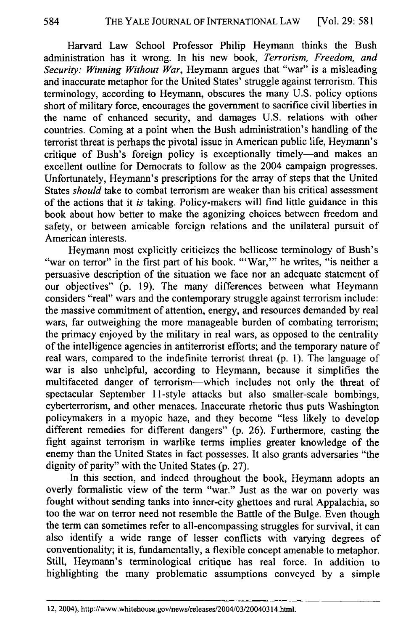Harvard Law School Professor Philip Heymann thinks the Bush administration has it wrong. In his new book, *Terrorism, Freedom, and Security: Winning Without War,* Heymann argues that "war" is a misleading and inaccurate metaphor for the United States' struggle against terrorism. This terminology, according to Heymann, obscures the many U.S. policy options short of military force, encourages the government to sacrifice civil liberties in the name of enhanced security, and damages U.S. relations with other countries. Coming at a point when the Bush administration's handling of the terrorist threat is perhaps the pivotal issue in American public life, Heymann's critique of Bush's foreign policy is exceptionally timely—and makes an excellent outline for Democrats to follow as the 2004 campaign progresses. Unfortunately, Heymann's prescriptions for the array of steps that the United States *should* take to combat terrorism are weaker than his critical assessment of the actions that it *is* taking. Policy-makers will find little guidance in this book about how better to make the agonizing choices between freedom and safety, or between amicable foreign relations and the unilateral pursuit of American interests.

Heymann most explicitly criticizes the bellicose terminology of Bush's "war on terror" in the first part of his book. "'War," he writes, "is neither a persuasive description of the situation we face nor an adequate statement of our objectives" (p. 19). The many differences between what Heymann considers "real" wars and the contemporary struggle against terrorism include: the massive commitment of attention, energy, and resources demanded by real wars, far outweighing the more manageable burden of combating terrorism; the primacy enjoyed by the military in real wars, as opposed to the centrality of the intelligence agencies in antiterrorist efforts; and the temporary nature of real wars, compared to the indefinite terrorist threat (p. 1). The language of war is also unhelpful, according to Heymann, because it simplifies the multifaceted danger of terrorism-which includes not only the threat of spectacular September 11-style attacks but also smaller-scale bombings, cyberterrorism, and other menaces. Inaccurate rhetoric thus puts Washington policymakers in a myopic haze, and they become "less likely to develop different remedies for different dangers" (p. 26). Furthermore, casting the fight against terrorism in warlike terms implies greater knowledge of the enemy than the United States in fact possesses. It also grants adversaries "the dignity of parity" with the United States (p. 27).

In this section, and indeed throughout the book, Heymann adopts an overly formalistic view of the term "war." Just as the war on poverty was fought without sending tanks into inner-city ghettoes and rural Appalachia, so too the war on terror need not resemble the Battle of the Bulge. Even though the term can sometimes refer to all-encompassing struggles for survival, it can also identify a wide range of lesser conflicts with varying degrees of conventionality; it is, fundamentally, a flexible concept amenable to metaphor. Still, Heymann's terminological critique has real force. In addition to highlighting the many problematic assumptions conveyed by a simple

<sup>584</sup> 

<sup>12, 2004),</sup> http://www.whitehouse.gov/news/releases/2004/03/20040314.htm.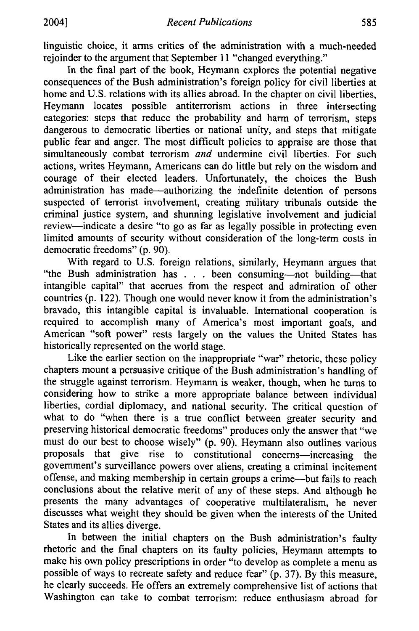linguistic choice, it arms critics of the administration with a much-needed rejoinder to the argument that September 11 "changed everything."

In the final part of the book, Heymann explores the potential negative consequences of the Bush administration's foreign policy for civil liberties at home and U.S. relations with its allies abroad. In the chapter on civil liberties, Heymann locates possible antiterrorism actions in three intersecting categories: steps that reduce the probability and harm of terrorism, steps dangerous to democratic liberties or national unity, and steps that mitigate public fear and anger. The most difficult policies to appraise are those that simultaneously combat terrorism *and* undermine civil liberties. For such actions, writes Heymann, Americans can do little but rely on the wisdom and courage of their elected leaders. Unfortunately, the choices the Bush administration has made-authorizing the indefinite detention of persons suspected of terrorist involvement, creating military tribunals outside the criminal justice system, and shunning legislative involvement and judicial review—indicate a desire "to go as far as legally possible in protecting even limited amounts of security without consideration of the long-term costs in democratic freedoms" (p. 90).

With regard to U.S. foreign relations, similarly, Heymann argues that "the Bush administration has . . . been consuming-not building-that intangible capital" that accrues from the respect and admiration of other countries (p. 122). Though one would never know it from the administration's bravado, this intangible capital is invaluable. International cooperation is required to accomplish many of America's most important goals, and American "soft power" rests largely on the values the United States has historically represented on the world stage.

Like the earlier section on the inappropriate "war" rhetoric, these policy chapters mount a persuasive critique of the Bush administration's handling of the struggle against terrorism. Heymann is weaker, though, when he turns to considering how to strike a more appropriate balance between individual liberties, cordial diplomacy, and national security. The critical question of what to do "when there is a true conflict between greater security and preserving historical democratic freedoms" produces only the answer that "we must do our best to choose wisely" (p. 90). Heymann also outlines various proposals that give rise to constitutional concerns-increasing the government's surveillance powers over aliens, creating a criminal incitement offense, and making membership in certain groups a crime-but fails to reach conclusions about the relative merit of any of these steps. And although he presents the many advantages of cooperative multilateralism, he never discusses what weight they should be given when the interests of the United States and its allies diverge.

In between the initial chapters on the Bush administration's faulty rhetoric and the final chapters on its faulty policies, Heymann attempts to make his own policy prescriptions in order "to develop as complete a menu as possible of ways to recreate safety and reduce fear" (p. 37). By this measure, he clearly succeeds. He offers an extremely comprehensive list of actions that Washington can take to combat terrorism: reduce enthusiasm abroad for